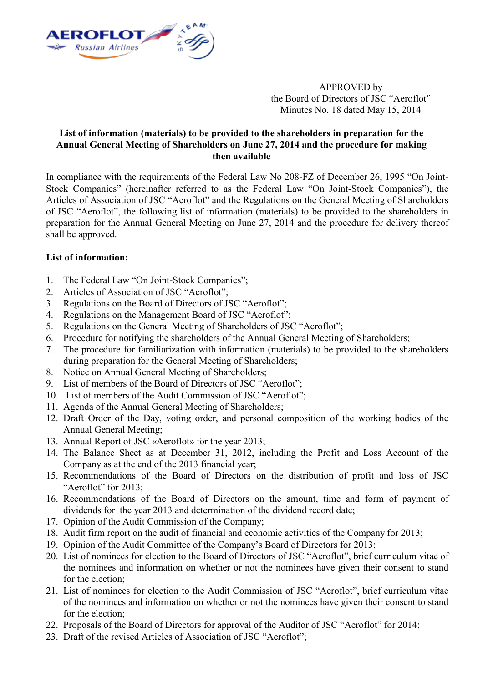

APPROVED by the Board of Directors of JSC "Aeroflot" Minutes No. 18 dated May 15, 2014

## **List of information (materials) to be provided to the shareholders in preparation for the Annual General Meeting of Shareholders on June 27, 2014 and the procedure for making then available**

In compliance with the requirements of the Federal Law No 208-FZ of December 26, 1995 "On Joint-Stock Companies" (hereinafter referred to as the Federal Law "On Joint-Stock Companies"), the Articles of Association of JSC "Aeroflot" and the Regulations on the General Meeting of Shareholders of JSC "Aeroflot", the following list of information (materials) to be provided to the shareholders in preparation for the Annual General Meeting on June 27, 2014 and the procedure for delivery thereof shall be approved.

## **List of information:**

- 1. The Federal Law "On Joint-Stock Companies";
- 2. Articles of Association of JSC "Aeroflot";
- 3. Regulations on the Board of Directors of JSC "Aeroflot";
- 4. Regulations on the Management Board of JSC "Aeroflot";
- 5. Regulations on the General Meeting of Shareholders of JSC "Aeroflot";
- 6. Procedure for notifying the shareholders of the Annual General Meeting of Shareholders;
- 7. The procedure for familiarization with information (materials) to be provided to the shareholders during preparation for the General Meeting of Shareholders;
- 8. Notice on Annual General Meeting of Shareholders;
- 9. List of members of the Board of Directors of JSC "Aeroflot";
- 10. List of members of the Audit Commission of JSC "Aeroflot";
- 11. Agenda of the Annual General Meeting of Shareholders;
- 12. Draft Order of the Day, voting order, and personal composition of the working bodies of the Annual General Meeting;
- 13. Annual Report of JSC «Aeroflot» for the year 2013;
- 14. The Balance Sheet as at December 31, 2012, including the Profit and Loss Account of the Company as at the end of the 2013 financial year;
- 15. Recommendations of the Board of Directors on the distribution of profit and loss of JSC "Aeroflot" for  $2013$
- 16. Recommendations of the Board of Directors on the amount, time and form of payment of dividends for the year 2013 and determination of the dividend record date;
- 17. Opinion of the Audit Commission of the Company;
- 18. Audit firm report on the audit of financial and economic activities of the Company for 2013;
- 19. Opinion of the Audit Committee of the Company's Board of Directors for 2013;
- 20. List of nominees for election to the Board of Directors of JSC "Aeroflot", brief curriculum vitae of the nominees and information on whether or not the nominees have given their consent to stand for the election:
- 21. List of nominees for election to the Audit Commission of JSC "Aeroflot", brief curriculum vitae of the nominees and information on whether or not the nominees have given their consent to stand for the election;
- 22. Proposals of the Board of Directors for approval of the Auditor of JSC "Aeroflot" for 2014;
- 23. Draft of the revised Articles of Association of JSC "Aeroflot";